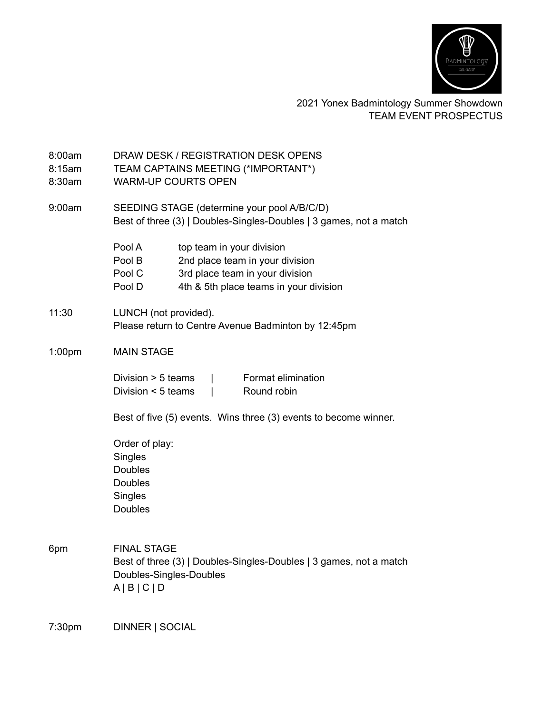

## 2021 Yonex Badmintology Summer Showdown TEAM EVENT PROSPECTUS

| 8:00am<br>8:15am<br>8:30am | DRAW DESK / REGISTRATION DESK OPENS<br>TEAM CAPTAINS MEETING (*IMPORTANT*)<br><b>WARM-UP COURTS OPEN</b>                       |                                                                                                                                           |
|----------------------------|--------------------------------------------------------------------------------------------------------------------------------|-------------------------------------------------------------------------------------------------------------------------------------------|
| 9:00am                     | SEEDING STAGE (determine your pool A/B/C/D)<br>Best of three (3)   Doubles-Singles-Doubles   3 games, not a match              |                                                                                                                                           |
|                            | Pool A<br>Pool B<br>Pool C<br>Pool D                                                                                           | top team in your division<br>2nd place team in your division<br>3rd place team in your division<br>4th & 5th place teams in your division |
| 11:30                      | LUNCH (not provided).<br>Please return to Centre Avenue Badminton by 12:45pm                                                   |                                                                                                                                           |
| 1:00 <sub>pm</sub>         | <b>MAIN STAGE</b>                                                                                                              |                                                                                                                                           |
|                            | Division $> 5$ teams<br>Format elimination<br>Division $\leq$ 5 teams<br>Round robin<br>$\mathsf{I}$                           |                                                                                                                                           |
|                            | Best of five (5) events. Wins three (3) events to become winner.                                                               |                                                                                                                                           |
|                            | Order of play:<br>Singles<br><b>Doubles</b><br><b>Doubles</b><br><b>Singles</b><br>Doubles                                     |                                                                                                                                           |
| 6pm                        | <b>FINAL STAGE</b><br>Best of three (3)   Doubles-Singles-Doubles   3 games, not a match<br>Doubles-Singles-Doubles<br>A B C D |                                                                                                                                           |
| 7:30pm                     | DINNER   SOCIAL                                                                                                                |                                                                                                                                           |